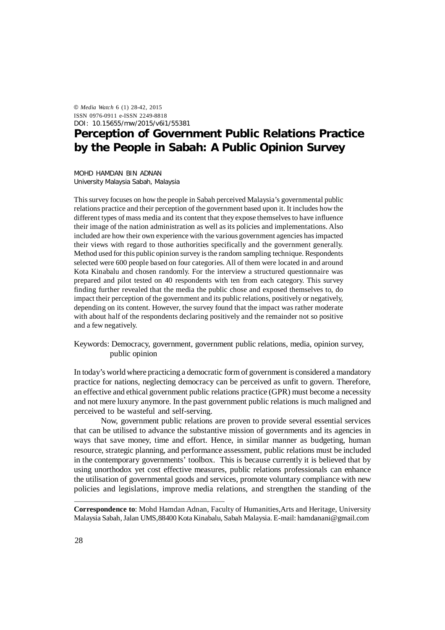© *Media Watch* 6 (1) 28-42, 2015 ISSN 0976-0911 e-ISSN 2249-8818 DOI: 10.15655/mw/2015/v6i1/55381

# **Perception of Government Public Relations Practice by the People in Sabah: A Public Opinion Survey**

MOHD HAMDAN BIN ADNAN University Malaysia Sabah, Malaysia

This survey focuses on how the people in Sabah perceived Malaysia's governmental public relations practice and their perception of the government based upon it. It includes how the different types of mass media and its content that they expose themselves to have influence their image of the nation administration as well as its policies and implementations. Also included are how their own experience with the various government agencies has impacted their views with regard to those authorities specifically and the government generally. Method used for this public opinion survey is the random sampling technique. Respondents selected were 600 people based on four categories. All of them were located in and around Kota Kinabalu and chosen randomly. For the interview a structured questionnaire was prepared and pilot tested on 40 respondents with ten from each category. This survey finding further revealed that the media the public chose and exposed themselves to, do impact their perception of the government and its public relations, positively or negatively, depending on its content. However, the survey found that the impact was rather moderate with about half of the respondents declaring positively and the remainder not so positive and a few negatively.

Keywords: Democracy, government, government public relations, media, opinion survey, public opinion

In today's world where practicing a democratic form of government is considered a mandatory practice for nations, neglecting democracy can be perceived as unfit to govern. Therefore, an effective and ethical government public relations practice (GPR) must become a necessity and not mere luxury anymore. In the past government public relations is much maligned and perceived to be wasteful and self-serving.

Now, government public relations are proven to provide several essential services that can be utilised to advance the substantive mission of governments and its agencies in ways that save money, time and effort. Hence, in similar manner as budgeting, human resource, strategic planning, and performance assessment, public relations must be included in the contemporary governments' toolbox. This is because currently it is believed that by using unorthodox yet cost effective measures, public relations professionals can enhance the utilisation of governmental goods and services, promote voluntary compliance with new policies and legislations, improve media relations, and strengthen the standing of the

**Correspondence to**: Mohd Hamdan Adnan, Faculty of Humanities,Arts and Heritage, University Malaysia Sabah, Jalan UMS,88400 Kota Kinabalu, Sabah Malaysia. E-mail: hamdanani@gmail.com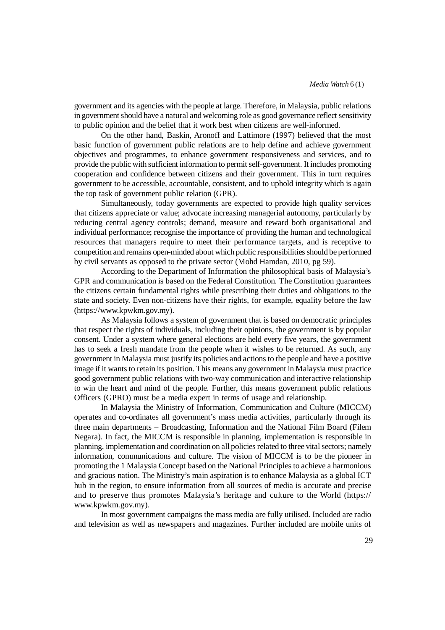government and its agencies with the people at large. Therefore, in Malaysia, public relations in government should have a natural and welcoming role as good governance reflect sensitivity to public opinion and the belief that it work best when citizens are well-informed.

On the other hand, Baskin, Aronoff and Lattimore (1997) believed that the most basic function of government public relations are to help define and achieve government objectives and programmes, to enhance government responsiveness and services, and to provide the public with sufficient information to permit self-government. It includes promoting cooperation and confidence between citizens and their government. This in turn requires government to be accessible, accountable, consistent, and to uphold integrity which is again the top task of government public relation (GPR).

Simultaneously, today governments are expected to provide high quality services that citizens appreciate or value; advocate increasing managerial autonomy, particularly by reducing central agency controls; demand, measure and reward both organisational and individual performance; recognise the importance of providing the human and technological resources that managers require to meet their performance targets, and is receptive to competition and remains open-minded about which public responsibilities should be performed by civil servants as opposed to the private sector (Mohd Hamdan, 2010, pg 59).

According to the Department of Information the philosophical basis of Malaysia's GPR and communication is based on the Federal Constitution. The Constitution guarantees the citizens certain fundamental rights while prescribing their duties and obligations to the state and society. Even non-citizens have their rights, for example, equality before the law (https://www.kpwkm.gov.my).

As Malaysia follows a system of government that is based on democratic principles that respect the rights of individuals, including their opinions, the government is by popular consent. Under a system where general elections are held every five years, the government has to seek a fresh mandate from the people when it wishes to be returned. As such, any government in Malaysia must justify its policies and actions to the people and have a positive image if it wants to retain its position. This means any government in Malaysia must practice good government public relations with two-way communication and interactive relationship to win the heart and mind of the people. Further, this means government public relations Officers (GPRO) must be a media expert in terms of usage and relationship.

In Malaysia the Ministry of Information, Communication and Culture (MICCM) operates and co-ordinates all government's mass media activities, particularly through its three main departments – Broadcasting, Information and the National Film Board (Filem Negara). In fact, the MICCM is responsible in planning, implementation is responsible in planning, implementation and coordination on all policies related to three vital sectors; namely information, communications and culture. The vision of MICCM is to be the pioneer in promoting the 1 Malaysia Concept based on the National Principles to achieve a harmonious and gracious nation. The Ministry's main aspiration is to enhance Malaysia as a global ICT hub in the region, to ensure information from all sources of media is accurate and precise and to preserve thus promotes Malaysia's heritage and culture to the World (https:// www.kpwkm.gov.my).

In most government campaigns the mass media are fully utilised. Included are radio and television as well as newspapers and magazines. Further included are mobile units of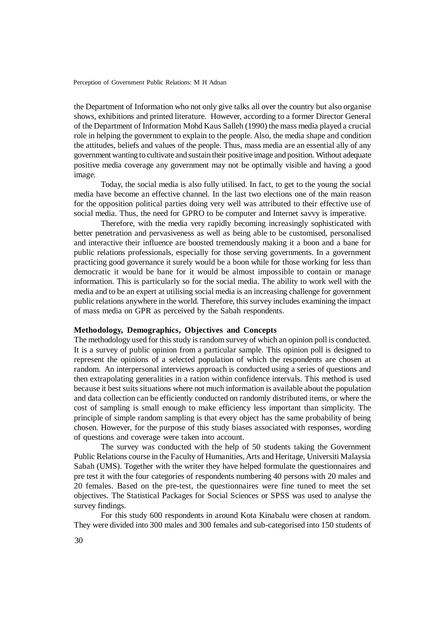the Department of Information who not only give talks all over the country but also organise shows, exhibitions and printed literature. However, according to a former Director General of the Department of Information Mohd Kaus Salleh (1990) the mass media played a crucial role in helping the government to explain to the people. Also, the media shape and condition the attitudes, beliefs and values of the people. Thus, mass media are an essential ally of any government wanting to cultivate and sustain their positive image and position. Without adequate positive media coverage any government may not be optimally visible and having a good image.

Today, the social media is also fully utilised. In fact, to get to the young the social media have become an effective channel. In the last two elections one of the main reason for the opposition political parties doing very well was attributed to their effective use of social media. Thus, the need for GPRO to be computer and Internet savvy is imperative.

Therefore, with the media very rapidly becoming increasingly sophisticated with better penetration and pervasiveness as well as being able to be customised, personalised and interactive their influence are boosted tremendously making it a boon and a bane for public relations professionals, especially for those serving governments. In a government practicing good governance it surely would be a boon while for those working for less than democratic it would be bane for it would be almost impossible to contain or manage information. This is particularly so for the social media. The ability to work well with the media and to be an expert at utilising social media is an increasing challenge for government public relations anywhere in the world. Therefore, this survey includes examining the impact of mass media on GPR as perceived by the Sabah respondents.

# **Methodology, Demographics, Objectives and Concepts**

The methodology used for this study is random survey of which an opinion poll is conducted. It is a survey of public opinion from a particular sample. This opinion poll is designed to represent the opinions of a selected population of which the respondents are chosen at random. An interpersonal interviews approach is conducted using a series of questions and then extrapolating generalities in a ration within confidence intervals. This method is used because it best suits situations where not much information is available about the population and data collection can be efficiently conducted on randomly distributed items, or where the cost of sampling is small enough to make efficiency less important than simplicity. The principle of simple random sampling is that every object has the same probability of being chosen. However, for the purpose of this study biases associated with responses, wording of questions and coverage were taken into account.

The survey was conducted with the help of 50 students taking the Government Public Relations course in the Faculty of Humanities, Arts and Heritage, Universiti Malaysia Sabah (UMS). Together with the writer they have helped formulate the questionnaires and pre test it with the four categories of respondents numbering 40 persons with 20 males and 20 females. Based on the pre-test, the questionnaires were fine tuned to meet the set objectives. The Statistical Packages for Social Sciences or SPSS was used to analyse the survey findings.

For this study 600 respondents in around Kota Kinabalu were chosen at random. They were divided into 300 males and 300 females and sub-categorised into 150 students of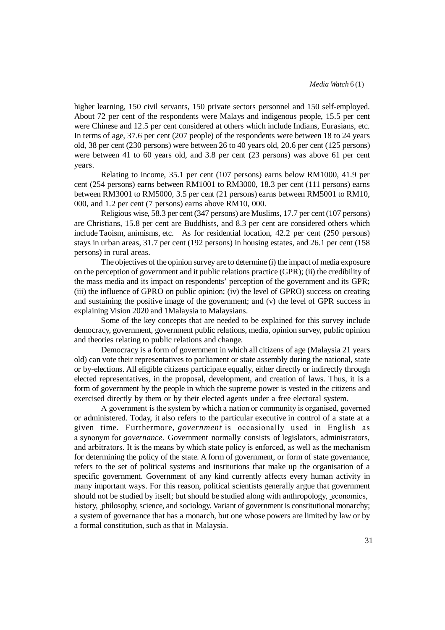higher learning, 150 civil servants, 150 private sectors personnel and 150 self-employed. About 72 per cent of the respondents were Malays and indigenous people, 15.5 per cent were Chinese and 12.5 per cent considered at others which include Indians, Eurasians, etc. In terms of age, 37.6 per cent (207 people) of the respondents were between 18 to 24 years old, 38 per cent (230 persons) were between 26 to 40 years old, 20.6 per cent (125 persons) were between 41 to 60 years old, and 3.8 per cent (23 persons) was above 61 per cent years.

Relating to income, 35.1 per cent (107 persons) earns below RM1000, 41.9 per cent (254 persons) earns between RM1001 to RM3000, 18.3 per cent (111 persons) earns between RM3001 to RM5000, 3.5 per cent (21 persons) earns between RM5001 to RM10, 000, and 1.2 per cent (7 persons) earns above RM10, 000.

Religious wise, 58.3 per cent (347 persons) are Muslims, 17.7 per cent (107 persons) are Christians, 15.8 per cent are Buddhists, and 8.3 per cent are considered others which include Taoism, animisms, etc. As for residential location, 42.2 per cent (250 persons) stays in urban areas, 31.7 per cent (192 persons) in housing estates, and 26.1 per cent (158 persons) in rural areas.

The objectives of the opinion survey are to determine (i) the impact of media exposure on the perception of government and it public relations practice (GPR); (ii) the credibility of the mass media and its impact on respondents' perception of the government and its GPR; (iii) the influence of GPRO on public opinion; (iv) the level of GPRO) success on creating and sustaining the positive image of the government; and (v) the level of GPR success in explaining Vision 2020 and 1Malaysia to Malaysians.

Some of the key concepts that are needed to be explained for this survey include democracy, government, government public relations, media, opinion survey, public opinion and theories relating to public relations and change.

Democracy is a form of government in which all citizens of age (Malaysia 21 years old) can vote their representatives to parliament or state assembly during the national, state or by-elections. All eligible citizens participate equally, either directly or indirectly through elected representatives, in the proposal, development, and creation of laws. Thus, it is a form of government by the people in which the supreme power is vested in the citizens and exercised directly by them or by their elected agents under a free electoral system.

A government is the system by which a nation or community is organised, governed or administered. Today, it also refers to the particular executive in control of a state at a given time. Furthermore, *government* is occasionally used in English as a synonym for *governance*. Government normally consists of legislators, administrators, and arbitrators. It is the means by which state policy is enforced, as well as the mechanism for determining the policy of the state. A form of government, or form of state governance, refers to the set of political systems and institutions that make up the organisation of a specific government. Government of any kind currently affects every human activity in many important ways. For this reason, political scientists generally argue that government should not be studied by itself; but should be studied along with anthropology, economics, history, philosophy, science, and sociology. Variant of government is constitutional monarchy; a system of governance that has a monarch, but one whose powers are limited by law or by a formal constitution, such as that in Malaysia.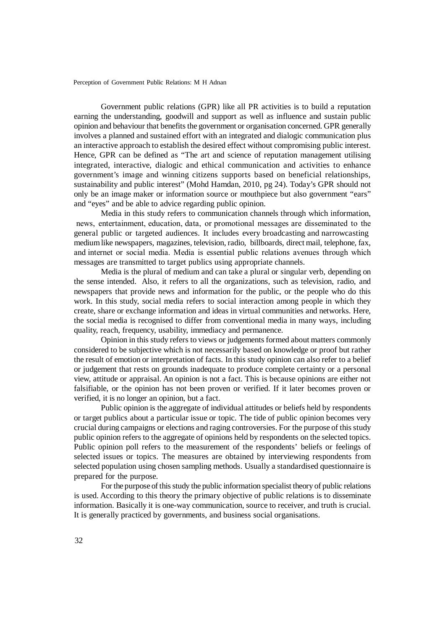Government public relations (GPR) like all PR activities is to build a reputation earning the understanding, goodwill and support as well as influence and sustain public opinion and behaviour that benefits the government or organisation concerned. GPR generally involves a planned and sustained effort with an integrated and dialogic communication plus an interactive approach to establish the desired effect without compromising public interest. Hence, GPR can be defined as "The art and science of reputation management utilising integrated, interactive, dialogic and ethical communication and activities to enhance government's image and winning citizens supports based on beneficial relationships, sustainability and public interest" (Mohd Hamdan, 2010, pg 24). Today's GPR should not only be an image maker or information source or mouthpiece but also government "ears" and "eyes" and be able to advice regarding public opinion.

Media in this study refers to communication channels through which information, news, entertainment, education, data, or promotional messages are disseminated to the general public or targeted audiences. It includes every broadcasting and narrowcasting medium like newspapers, magazines, television, radio, billboards, direct mail, telephone, fax, and internet or social media. Media is essential public relations avenues through which messages are transmitted to target publics using appropriate channels.

Media is the plural of medium and can take a plural or singular verb, depending on the sense intended. Also, it refers to all the organizations, such as television, radio, and newspapers that provide news and information for the public, or the people who do this work. In this study, social media refers to social interaction among people in which they create, share or exchange information and ideas in virtual communities and networks. Here, the social media is recognised to differ from conventional media in many ways, including quality, reach, frequency, usability, immediacy and permanence.

Opinion in this study refers to views or judgements formed about matters commonly considered to be subjective which is not necessarily based on knowledge or proof but rather the result of emotion or interpretation of facts. In this study opinion can also refer to a belief or judgement that rests on grounds inadequate to produce complete certainty or a personal view, attitude or appraisal. An opinion is not a fact. This is because opinions are either not falsifiable, or the opinion has not been proven or verified. If it later becomes proven or verified, it is no longer an opinion, but a fact.

Public opinion is the aggregate of individual attitudes or beliefs held by respondents or target publics about a particular issue or topic. The tide of public opinion becomes very crucial during campaigns or elections and raging controversies. For the purpose of this study public opinion refers to the aggregate of opinions held by respondents on the selected topics. Public opinion poll refers to the measurement of the respondents' beliefs or feelings of selected issues or topics. The measures are obtained by interviewing respondents from selected population using chosen sampling methods. Usually a standardised questionnaire is prepared for the purpose.

For the purpose of this study the public information specialist theory of public relations is used. According to this theory the primary objective of public relations is to disseminate information. Basically it is one-way communication, source to receiver, and truth is crucial. It is generally practiced by governments, and business social organisations.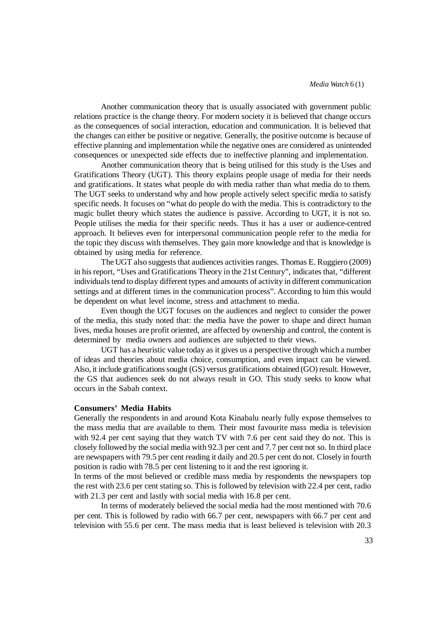Another communication theory that is usually associated with government public relations practice is the change theory. For modern society it is believed that change occurs as the consequences of social interaction, education and communication. It is believed that the changes can either be positive or negative. Generally, the positive outcome is because of effective planning and implementation while the negative ones are considered as unintended consequences or unexpected side effects due to ineffective planning and implementation.

Another communication theory that is being utilised for this study is the Uses and Gratifications Theory (UGT). This theory explains people usage of media for their needs and gratifications. It states what people do with media rather than what media do to them. The UGT seeks to understand why and how people actively select specific media to satisfy specific needs. It focuses on "what do people do with the media. This is contradictory to the magic bullet theory which states the audience is passive. According to UGT, it is not so. People utilises the media for their specific needs. Thus it has a user or audience-centred approach. It believes even for interpersonal communication people refer to the media for the topic they discuss with themselves. They gain more knowledge and that is knowledge is obtained by using media for reference.

The UGT also suggests that audiences activities ranges. Thomas E. Ruggiero (2009) in his report, "Uses and Gratifications Theory in the 21st Century", indicates that, "different individuals tend to display different types and amounts of activity in different communication settings and at different times in the communication process". According to him this would be dependent on what level income, stress and attachment to media.

Even though the UGT focuses on the audiences and neglect to consider the power of the media, this study noted that: the media have the power to shape and direct human lives, media houses are profit oriented, are affected by ownership and control, the content is determined by media owners and audiences are subjected to their views.

UGT has a heuristic value today as it gives us a perspective through which a number of ideas and theories about media choice, consumption, and even impact can be viewed. Also, it include gratifications sought (GS) versus gratifications obtained (GO) result. However, the GS that audiences seek do not always result in GO. This study seeks to know what occurs in the Sabah context.

## **Consumers' Media Habits**

Generally the respondents in and around Kota Kinabalu nearly fully expose themselves to the mass media that are available to them. Their most favourite mass media is television with 92.4 per cent saying that they watch TV with 7.6 per cent said they do not. This is closely followed by the social media with 92.3 per cent and 7.7 per cent not so. In third place are newspapers with 79.5 per cent reading it daily and 20.5 per cent do not. Closely in fourth position is radio with 78.5 per cent listening to it and the rest ignoring it.

In terms of the most believed or credible mass media by respondents the newspapers top the rest with 23.6 per cent stating so. This is followed by television with 22.4 per cent, radio with 21.3 per cent and lastly with social media with 16.8 per cent.

In terms of moderately believed the social media had the most mentioned with 70.6 per cent. This is followed by radio with 66.7 per cent, newspapers with 66.7 per cent and television with 55.6 per cent. The mass media that is least believed is television with 20.3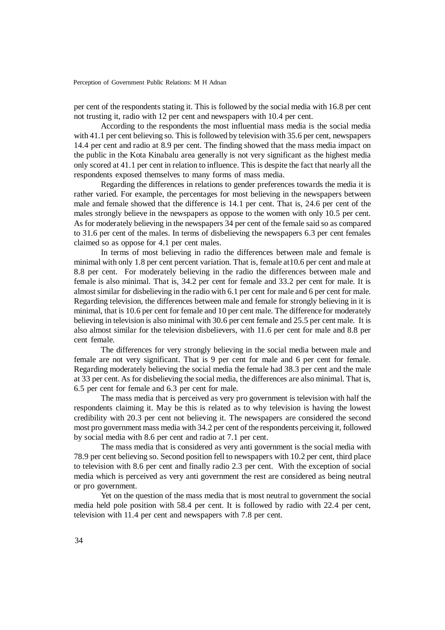per cent of the respondents stating it. This is followed by the social media with 16.8 per cent not trusting it, radio with 12 per cent and newspapers with 10.4 per cent.

According to the respondents the most influential mass media is the social media with 41.1 per cent believing so. This is followed by television with 35.6 per cent, newspapers 14.4 per cent and radio at 8.9 per cent. The finding showed that the mass media impact on the public in the Kota Kinabalu area generally is not very significant as the highest media only scored at 41.1 per cent in relation to influence. This is despite the fact that nearly all the respondents exposed themselves to many forms of mass media.

Regarding the differences in relations to gender preferences towards the media it is rather varied. For example, the percentages for most believing in the newspapers between male and female showed that the difference is 14.1 per cent. That is, 24.6 per cent of the males strongly believe in the newspapers as oppose to the women with only 10.5 per cent. As for moderately believing in the newspapers 34 per cent of the female said so as compared to 31.6 per cent of the males. In terms of disbelieving the newspapers 6.3 per cent females claimed so as oppose for 4.1 per cent males.

In terms of most believing in radio the differences between male and female is minimal with only 1.8 per cent percent variation. That is, female at10.6 per cent and male at 8.8 per cent. For moderately believing in the radio the differences between male and female is also minimal. That is, 34.2 per cent for female and 33.2 per cent for male. It is almost similar for disbelieving in the radio with 6.1 per cent for male and 6 per cent for male. Regarding television, the differences between male and female for strongly believing in it is minimal, that is 10.6 per cent for female and 10 per cent male. The difference for moderately believing in television is also minimal with 30.6 per cent female and 25.5 per cent male. It is also almost similar for the television disbelievers, with 11.6 per cent for male and 8.8 per cent female.

The differences for very strongly believing in the social media between male and female are not very significant. That is 9 per cent for male and 6 per cent for female. Regarding moderately believing the social media the female had 38.3 per cent and the male at 33 per cent. As for disbelieving the social media, the differences are also minimal. That is, 6.5 per cent for female and 6.3 per cent for male.

The mass media that is perceived as very pro government is television with half the respondents claiming it. May be this is related as to why television is having the lowest credibility with 20.3 per cent not believing it. The newspapers are considered the second most pro government mass media with 34.2 per cent of the respondents perceiving it, followed by social media with 8.6 per cent and radio at 7.1 per cent.

The mass media that is considered as very anti government is the social media with 78.9 per cent believing so. Second position fell to newspapers with 10.2 per cent, third place to television with 8.6 per cent and finally radio 2.3 per cent. With the exception of social media which is perceived as very anti government the rest are considered as being neutral or pro government.

Yet on the question of the mass media that is most neutral to government the social media held pole position with 58.4 per cent. It is followed by radio with 22.4 per cent, television with 11.4 per cent and newspapers with 7.8 per cent.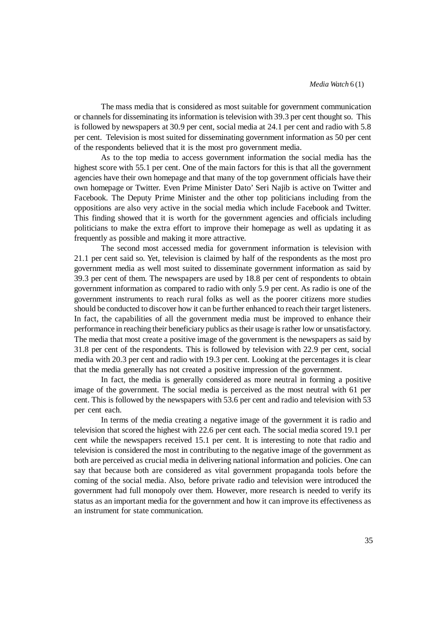The mass media that is considered as most suitable for government communication or channels for disseminating its information is television with 39.3 per cent thought so. This is followed by newspapers at 30.9 per cent, social media at 24.1 per cent and radio with 5.8 per cent. Television is most suited for disseminating government information as 50 per cent of the respondents believed that it is the most pro government media.

As to the top media to access government information the social media has the highest score with 55.1 per cent. One of the main factors for this is that all the government agencies have their own homepage and that many of the top government officials have their own homepage or Twitter. Even Prime Minister Dato' Seri Najib is active on Twitter and Facebook. The Deputy Prime Minister and the other top politicians including from the oppositions are also very active in the social media which include Facebook and Twitter. This finding showed that it is worth for the government agencies and officials including politicians to make the extra effort to improve their homepage as well as updating it as frequently as possible and making it more attractive.

The second most accessed media for government information is television with 21.1 per cent said so. Yet, television is claimed by half of the respondents as the most pro government media as well most suited to disseminate government information as said by 39.3 per cent of them. The newspapers are used by 18.8 per cent of respondents to obtain government information as compared to radio with only 5.9 per cent. As radio is one of the government instruments to reach rural folks as well as the poorer citizens more studies should be conducted to discover how it can be further enhanced to reach their target listeners. In fact, the capabilities of all the government media must be improved to enhance their performance in reaching their beneficiary publics as their usage is rather low or unsatisfactory. The media that most create a positive image of the government is the newspapers as said by 31.8 per cent of the respondents. This is followed by television with 22.9 per cent, social media with 20.3 per cent and radio with 19.3 per cent. Looking at the percentages it is clear that the media generally has not created a positive impression of the government.

In fact, the media is generally considered as more neutral in forming a positive image of the government. The social media is perceived as the most neutral with 61 per cent. This is followed by the newspapers with 53.6 per cent and radio and television with 53 per cent each.

In terms of the media creating a negative image of the government it is radio and television that scored the highest with 22.6 per cent each. The social media scored 19.1 per cent while the newspapers received 15.1 per cent. It is interesting to note that radio and television is considered the most in contributing to the negative image of the government as both are perceived as crucial media in delivering national information and policies. One can say that because both are considered as vital government propaganda tools before the coming of the social media. Also, before private radio and television were introduced the government had full monopoly over them. However, more research is needed to verify its status as an important media for the government and how it can improve its effectiveness as an instrument for state communication.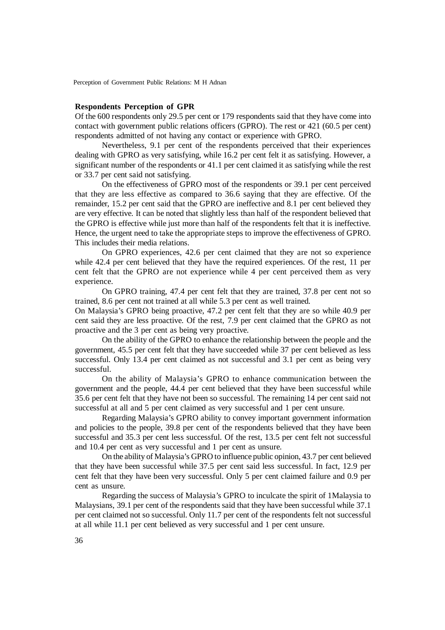#### **Respondents Perception of GPR**

Of the 600 respondents only 29.5 per cent or 179 respondents said that they have come into contact with government public relations officers (GPRO). The rest or 421 (60.5 per cent) respondents admitted of not having any contact or experience with GPRO.

Nevertheless, 9.1 per cent of the respondents perceived that their experiences dealing with GPRO as very satisfying, while 16.2 per cent felt it as satisfying. However, a significant number of the respondents or 41.1 per cent claimed it as satisfying while the rest or 33.7 per cent said not satisfying.

On the effectiveness of GPRO most of the respondents or 39.1 per cent perceived that they are less effective as compared to 36.6 saying that they are effective. Of the remainder, 15.2 per cent said that the GPRO are ineffective and 8.1 per cent believed they are very effective. It can be noted that slightly less than half of the respondent believed that the GPRO is effective while just more than half of the respondents felt that it is ineffective. Hence, the urgent need to take the appropriate steps to improve the effectiveness of GPRO. This includes their media relations.

On GPRO experiences, 42.6 per cent claimed that they are not so experience while 42.4 per cent believed that they have the required experiences. Of the rest, 11 per cent felt that the GPRO are not experience while 4 per cent perceived them as very experience.

On GPRO training, 47.4 per cent felt that they are trained, 37.8 per cent not so trained, 8.6 per cent not trained at all while 5.3 per cent as well trained.

On Malaysia's GPRO being proactive, 47.2 per cent felt that they are so while 40.9 per cent said they are less proactive. Of the rest, 7.9 per cent claimed that the GPRO as not proactive and the 3 per cent as being very proactive.

On the ability of the GPRO to enhance the relationship between the people and the government, 45.5 per cent felt that they have succeeded while 37 per cent believed as less successful. Only 13.4 per cent claimed as not successful and 3.1 per cent as being very successful.

On the ability of Malaysia's GPRO to enhance communication between the government and the people, 44.4 per cent believed that they have been successful while 35.6 per cent felt that they have not been so successful. The remaining 14 per cent said not successful at all and 5 per cent claimed as very successful and 1 per cent unsure.

Regarding Malaysia's GPRO ability to convey important government information and policies to the people, 39.8 per cent of the respondents believed that they have been successful and 35.3 per cent less successful. Of the rest, 13.5 per cent felt not successful and 10.4 per cent as very successful and 1 per cent as unsure.

On the ability of Malaysia's GPRO to influence public opinion, 43.7 per cent believed that they have been successful while 37.5 per cent said less successful. In fact, 12.9 per cent felt that they have been very successful. Only 5 per cent claimed failure and 0.9 per cent as unsure.

Regarding the success of Malaysia's GPRO to inculcate the spirit of 1Malaysia to Malaysians, 39.1 per cent of the respondents said that they have been successful while 37.1 per cent claimed not so successful. Only 11.7 per cent of the respondents felt not successful at all while 11.1 per cent believed as very successful and 1 per cent unsure.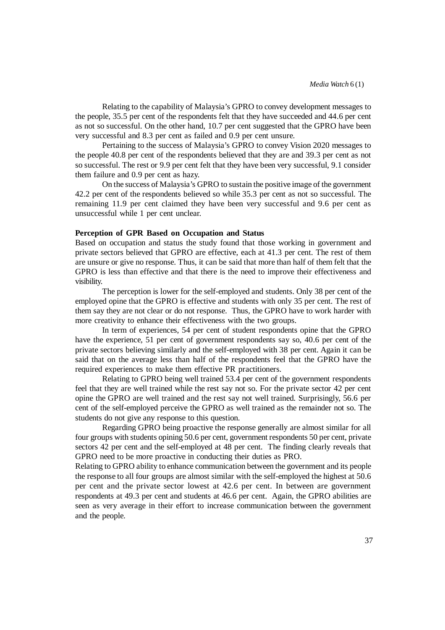Relating to the capability of Malaysia's GPRO to convey development messages to the people, 35.5 per cent of the respondents felt that they have succeeded and 44.6 per cent as not so successful. On the other hand, 10.7 per cent suggested that the GPRO have been very successful and 8.3 per cent as failed and 0.9 per cent unsure.

Pertaining to the success of Malaysia's GPRO to convey Vision 2020 messages to the people 40.8 per cent of the respondents believed that they are and 39.3 per cent as not so successful. The rest or 9.9 per cent felt that they have been very successful, 9.1 consider them failure and 0.9 per cent as hazy.

On the success of Malaysia's GPRO to sustain the positive image of the government 42.2 per cent of the respondents believed so while 35.3 per cent as not so successful. The remaining 11.9 per cent claimed they have been very successful and 9.6 per cent as unsuccessful while 1 per cent unclear.

# **Perception of GPR Based on Occupation and Status**

Based on occupation and status the study found that those working in government and private sectors believed that GPRO are effective, each at 41.3 per cent. The rest of them are unsure or give no response. Thus, it can be said that more than half of them felt that the GPRO is less than effective and that there is the need to improve their effectiveness and visibility.

The perception is lower for the self-employed and students. Only 38 per cent of the employed opine that the GPRO is effective and students with only 35 per cent. The rest of them say they are not clear or do not response. Thus, the GPRO have to work harder with more creativity to enhance their effectiveness with the two groups.

In term of experiences, 54 per cent of student respondents opine that the GPRO have the experience, 51 per cent of government respondents say so, 40.6 per cent of the private sectors believing similarly and the self-employed with 38 per cent. Again it can be said that on the average less than half of the respondents feel that the GPRO have the required experiences to make them effective PR practitioners.

Relating to GPRO being well trained 53.4 per cent of the government respondents feel that they are well trained while the rest say not so. For the private sector 42 per cent opine the GPRO are well trained and the rest say not well trained. Surprisingly, 56.6 per cent of the self-employed perceive the GPRO as well trained as the remainder not so. The students do not give any response to this question.

Regarding GPRO being proactive the response generally are almost similar for all four groups with students opining 50.6 per cent, government respondents 50 per cent, private sectors 42 per cent and the self-employed at 48 per cent. The finding clearly reveals that GPRO need to be more proactive in conducting their duties as PRO.

Relating to GPRO ability to enhance communication between the government and its people the response to all four groups are almost similar with the self-employed the highest at 50.6 per cent and the private sector lowest at 42.6 per cent. In between are government respondents at 49.3 per cent and students at 46.6 per cent. Again, the GPRO abilities are seen as very average in their effort to increase communication between the government and the people.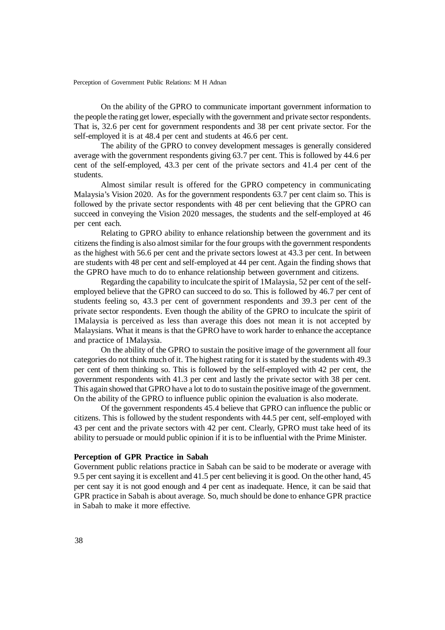On the ability of the GPRO to communicate important government information to the people the rating get lower, especially with the government and private sector respondents. That is, 32.6 per cent for government respondents and 38 per cent private sector. For the self-employed it is at 48.4 per cent and students at 46.6 per cent.

The ability of the GPRO to convey development messages is generally considered average with the government respondents giving 63.7 per cent. This is followed by 44.6 per cent of the self-employed, 43.3 per cent of the private sectors and 41.4 per cent of the students.

Almost similar result is offered for the GPRO competency in communicating Malaysia's Vision 2020. As for the government respondents 63.7 per cent claim so. This is followed by the private sector respondents with 48 per cent believing that the GPRO can succeed in conveying the Vision 2020 messages, the students and the self-employed at 46 per cent each.

Relating to GPRO ability to enhance relationship between the government and its citizens the finding is also almost similar for the four groups with the government respondents as the highest with 56.6 per cent and the private sectors lowest at 43.3 per cent. In between are students with 48 per cent and self-employed at 44 per cent. Again the finding shows that the GPRO have much to do to enhance relationship between government and citizens.

Regarding the capability to inculcate the spirit of 1Malaysia, 52 per cent of the selfemployed believe that the GPRO can succeed to do so. This is followed by 46.7 per cent of students feeling so, 43.3 per cent of government respondents and 39.3 per cent of the private sector respondents. Even though the ability of the GPRO to inculcate the spirit of 1Malaysia is perceived as less than average this does not mean it is not accepted by Malaysians. What it means is that the GPRO have to work harder to enhance the acceptance and practice of 1Malaysia.

On the ability of the GPRO to sustain the positive image of the government all four categories do not think much of it. The highest rating for it is stated by the students with 49.3 per cent of them thinking so. This is followed by the self-employed with 42 per cent, the government respondents with 41.3 per cent and lastly the private sector with 38 per cent. This again showed that GPRO have a lot to do to sustain the positive image of the government. On the ability of the GPRO to influence public opinion the evaluation is also moderate.

Of the government respondents 45.4 believe that GPRO can influence the public or citizens. This is followed by the student respondents with 44.5 per cent, self-employed with 43 per cent and the private sectors with 42 per cent. Clearly, GPRO must take heed of its ability to persuade or mould public opinion if it is to be influential with the Prime Minister.

#### **Perception of GPR Practice in Sabah**

Government public relations practice in Sabah can be said to be moderate or average with 9.5 per cent saying it is excellent and 41.5 per cent believing it is good. On the other hand, 45 per cent say it is not good enough and 4 per cent as inadequate. Hence, it can be said that GPR practice in Sabah is about average. So, much should be done to enhance GPR practice in Sabah to make it more effective.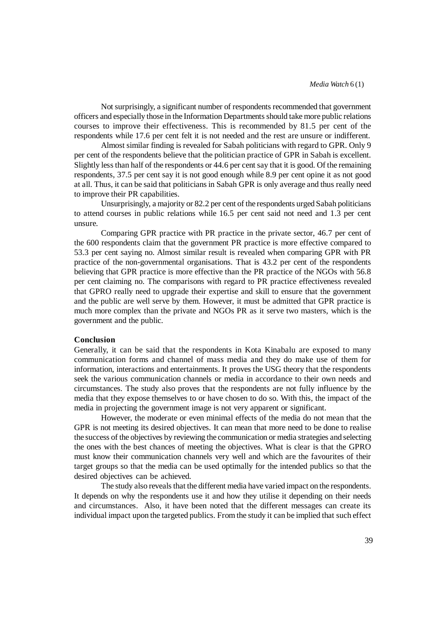Not surprisingly, a significant number of respondents recommended that government officers and especially those in the Information Departments should take more public relations courses to improve their effectiveness. This is recommended by 81.5 per cent of the respondents while 17.6 per cent felt it is not needed and the rest are unsure or indifferent.

Almost similar finding is revealed for Sabah politicians with regard to GPR. Only 9 per cent of the respondents believe that the politician practice of GPR in Sabah is excellent. Slightly less than half of the respondents or 44.6 per cent say that it is good. Of the remaining respondents, 37.5 per cent say it is not good enough while 8.9 per cent opine it as not good at all. Thus, it can be said that politicians in Sabah GPR is only average and thus really need to improve their PR capabilities.

Unsurprisingly, a majority or 82.2 per cent of the respondents urged Sabah politicians to attend courses in public relations while 16.5 per cent said not need and 1.3 per cent unsure.

Comparing GPR practice with PR practice in the private sector, 46.7 per cent of the 600 respondents claim that the government PR practice is more effective compared to 53.3 per cent saying no. Almost similar result is revealed when comparing GPR with PR practice of the non-governmental organisations. That is 43.2 per cent of the respondents believing that GPR practice is more effective than the PR practice of the NGOs with 56.8 per cent claiming no. The comparisons with regard to PR practice effectiveness revealed that GPRO really need to upgrade their expertise and skill to ensure that the government and the public are well serve by them. However, it must be admitted that GPR practice is much more complex than the private and NGOs PR as it serve two masters, which is the government and the public.

### **Conclusion**

Generally, it can be said that the respondents in Kota Kinabalu are exposed to many communication forms and channel of mass media and they do make use of them for information, interactions and entertainments. It proves the USG theory that the respondents seek the various communication channels or media in accordance to their own needs and circumstances. The study also proves that the respondents are not fully influence by the media that they expose themselves to or have chosen to do so. With this, the impact of the media in projecting the government image is not very apparent or significant.

However, the moderate or even minimal effects of the media do not mean that the GPR is not meeting its desired objectives. It can mean that more need to be done to realise the success of the objectives by reviewing the communication or media strategies and selecting the ones with the best chances of meeting the objectives. What is clear is that the GPRO must know their communication channels very well and which are the favourites of their target groups so that the media can be used optimally for the intended publics so that the desired objectives can be achieved.

The study also reveals that the different media have varied impact on the respondents. It depends on why the respondents use it and how they utilise it depending on their needs and circumstances. Also, it have been noted that the different messages can create its individual impact upon the targeted publics. From the study it can be implied that such effect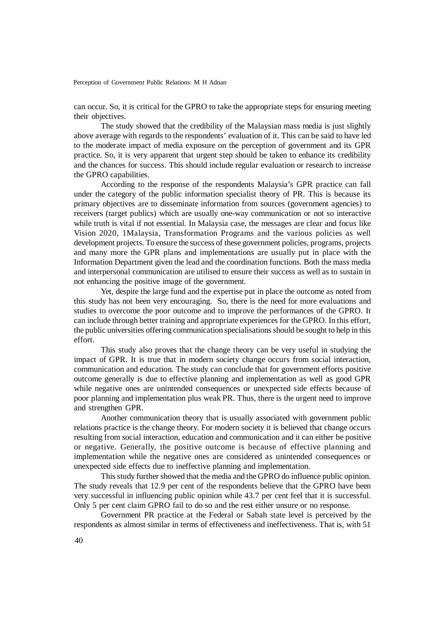can occur. So, it is critical for the GPRO to take the appropriate steps for ensuring meeting their objectives.

The study showed that the credibility of the Malaysian mass media is just slightly above average with regards to the respondents' evaluation of it. This can be said to have led to the moderate impact of media exposure on the perception of government and its GPR practice. So, it is very apparent that urgent step should be taken to enhance its credibility and the chances for success. This should include regular evaluation or research to increase the GPRO capabilities.

According to the response of the respondents Malaysia's GPR practice can fall under the category of the public information specialist theory of PR. This is because its primary objectives are to disseminate information from sources (government agencies) to receivers (target publics) which are usually one-way communication or not so interactive while truth is vital if not essential. In Malaysia case, the messages are clear and focus like Vision 2020, 1Malaysia, Transformation Programs and the various policies as well development projects. To ensure the success of these government policies, programs, projects and many more the GPR plans and implementations are usually put in place with the Information Department given the lead and the coordination functions. Both the mass media and interpersonal communication are utilised to ensure their success as well as to sustain in not enhancing the positive image of the government.

Yet, despite the large fund and the expertise put in place the outcome as noted from this study has not been very encouraging. So, there is the need for more evaluations and studies to overcome the poor outcome and to improve the performances of the GPRO. It can include through better training and appropriate experiences for the GPRO. In this effort, the public universities offering communication specialisations should be sought to help in this effort.

This study also proves that the change theory can be very useful in studying the impact of GPR. It is true that in modern society change occurs from social interaction, communication and education. The study can conclude that for government efforts positive outcome generally is due to effective planning and implementation as well as good GPR while negative ones are unintended consequences or unexpected side effects because of poor planning and implementation plus weak PR. Thus, there is the urgent need to improve and strengthen GPR.

Another communication theory that is usually associated with government public relations practice is the change theory. For modern society it is believed that change occurs resulting from social interaction, education and communication and it can either be positive or negative. Generally, the positive outcome is because of effective planning and implementation while the negative ones are considered as unintended consequences or unexpected side effects due to ineffective planning and implementation.

This study further showed that the media and the GPRO do influence public opinion. The study reveals that 12.9 per cent of the respondents believe that the GPRO have been very successful in influencing public opinion while 43.7 per cent feel that it is successful. Only 5 per cent claim GPRO fail to do so and the rest either unsure or no response.

Government PR practice at the Federal or Sabah state level is perceived by the respondents as almost similar in terms of effectiveness and ineffectiveness. That is, with 51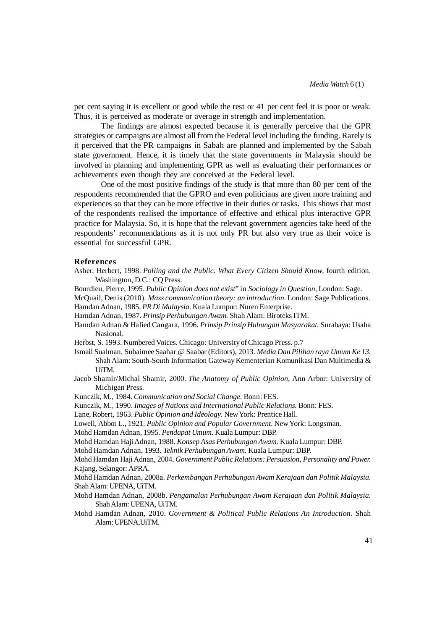per cent saying it is excellent or good while the rest or 41 per cent feel it is poor or weak. Thus, it is perceived as moderate or average in strength and implementation.

The findings are almost expected because it is generally perceive that the GPR strategies or campaigns are almost all from the Federal level including the funding. Rarely is it perceived that the PR campaigns in Sabah are planned and implemented by the Sabah state government. Hence, it is timely that the state governments in Malaysia should be involved in planning and implementing GPR as well as evaluating their performances or achievements even though they are conceived at the Federal level.

One of the most positive findings of the study is that more than 80 per cent of the respondents recommended that the GPRO and even politicians are given more training and experiences so that they can be more effective in their duties or tasks. This shows that most of the respondents realised the importance of effective and ethical plus interactive GPR practice for Malaysia. So, it is hope that the relevant government agencies take heed of the respondents' recommendations as it is not only PR but also very true as their voice is essential for successful GPR.

#### **References**

- Asher, Herbert, 1998. *Polling and the Public. What Every Citizen Should Know*, fourth edition. Washington, D.C.: CQ Press.
- Bourdieu, Pierre, 1995. *Public Opinion does not exist*" in *Sociology in Question*, London: Sage.
- McQuail, Denis (2010). *Mass communication theory: an introduction*. London: Sage Publications. Hamdan Adnan, 1985. *PR Di Malaysia.* Kuala Lumpur: Nuren Enterprise.
- Hamdan Adnan, 1987. *Prinsip Perhubungan Awam.* Shah Alam: Biroteks ITM.
- Hamdan Adnan & Hafied Cangara, 1996. *Prinsip Prinsip Hubungan Masyarakat.* Surabaya: Usaha Nasional.
- Herbst, S. 1993. Numbered Voices. Chicago: University of Chicago Press. p.7
- Ismail Sualman, Suhaimee Saahar @ Saabar (Editors), 2013. *Media Dan Pilihan raya Umum Ke 13.* Shah Alam: South-South Information Gateway Kementerian Komunikasi Dan Multimedia & UiTM.
- Jacob Shamir/Michal Shamir, 2000. *The Anatomy of Public Opinion*, Ann Arbor: University of Michigan Press.
- Kunczik, M., 1984. *Communication and Social Change.* Bonn: FES.
- Kunczik, M., 1990. *Images of Nations and International Public Relations.* Bonn: FES.
- Lane, Robert, 1963. *Public Opinion and Ideology.* New York: Prentice Hall.
- Lowell, Abbot L., 1921. *Public Opinion and Popular Government.* New York: Longsman.
- Mohd Hamdan Adnan, 1995. *Pendapat Umum.* Kuala Lumpur: DBP.
- Mohd Hamdan Haji Adnan, 1988. *Konsep Asas Perhubungan Awam.* Kuala Lumpur: DBP.
- Mohd Hamdan Adnan, 1993. *Teknik Perhubungan Awam.* Kuala Lumpur: DBP.

Mohd Hamdan Haji Adnan, 2004. *Government Public Relations: Persuasion, Personality and Power.* Kajang, Selangor: APRA.

Mohd Hamdan Adnan, 2008a. *Perkembangan Perhubungan Awam Kerajaan dan Politik Malaysia.* Shah Alam: UPENA, UiTM.

- Mohd Hamdan Adnan, 2008b. *Pengamalan Perhubungan Awam Kerajaan dan Politik Malaysia.* Shah Alam: UPENA, UiTM.
- Mohd Hamdan Adnan, 2010. *Government & Political Public Relations An Introduction.* Shah Alam: UPENA,UiTM.